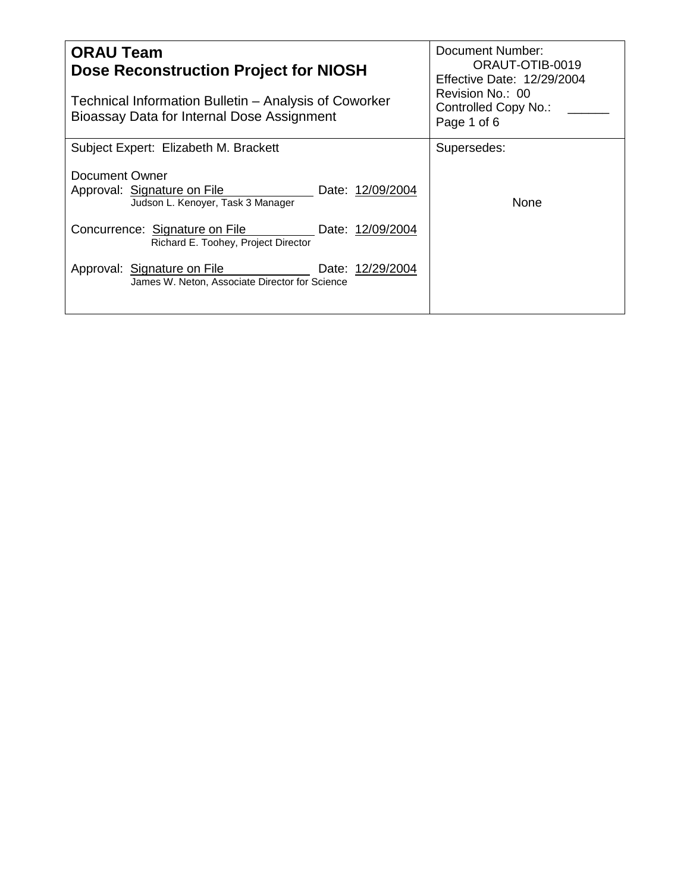| <b>ORAU Team</b><br><b>Dose Reconstruction Project for NIOSH</b><br>Technical Information Bulletin – Analysis of Coworker<br>Bioassay Data for Internal Dose Assignment | Document Number:<br>ORAUT-OTIB-0019<br><b>Effective Date: 12/29/2004</b><br>Revision No.: 00<br>Controlled Copy No.:<br>Page 1 of 6 |
|-------------------------------------------------------------------------------------------------------------------------------------------------------------------------|-------------------------------------------------------------------------------------------------------------------------------------|
| Subject Expert: Elizabeth M. Brackett                                                                                                                                   | Supersedes:                                                                                                                         |
| Document Owner<br>Approval: Signature on File<br>Date: 12/09/2004<br>Judson L. Kenoyer, Task 3 Manager                                                                  | None                                                                                                                                |
| Concurrence: Signature on File<br>Date: 12/09/2004<br>Richard E. Toohey, Project Director                                                                               |                                                                                                                                     |
| Approval: Signature on File<br>Date: 12/29/2004<br>James W. Neton, Associate Director for Science                                                                       |                                                                                                                                     |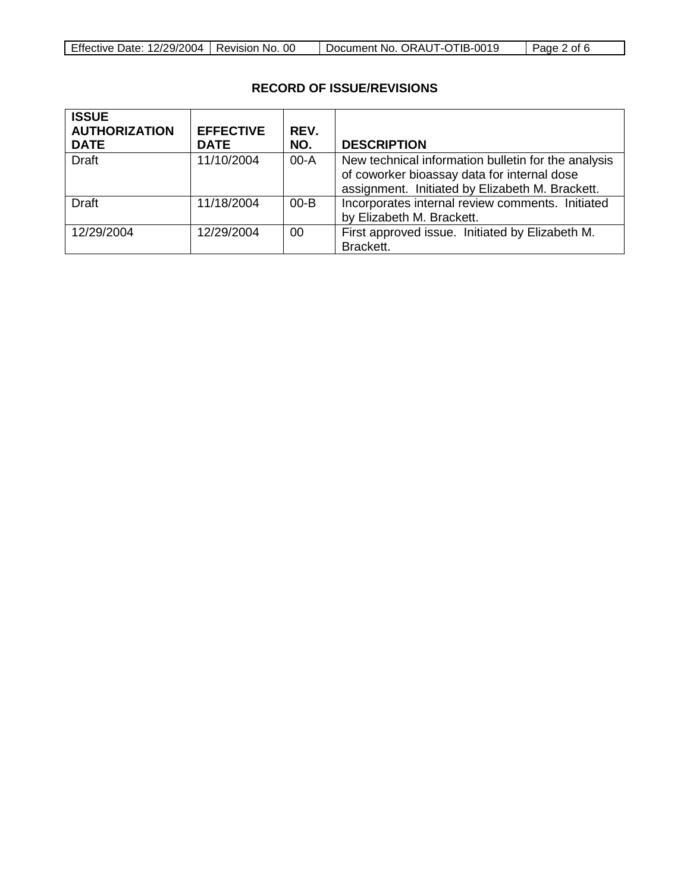| Page 2 of 6 |                              |
|-------------|------------------------------|
|             | Document No. ORAUT-OTIB-0019 |

# **RECORD OF ISSUE/REVISIONS**

| <b>ISSUE</b><br><b>AUTHORIZATION</b><br><b>DATE</b> | <b>EFFECTIVE</b><br><b>DATE</b> | REV.<br>NO. | <b>DESCRIPTION</b>                                                                                                                                    |
|-----------------------------------------------------|---------------------------------|-------------|-------------------------------------------------------------------------------------------------------------------------------------------------------|
| <b>Draft</b>                                        | 11/10/2004                      | $00-A$      | New technical information bulletin for the analysis<br>of coworker bioassay data for internal dose<br>assignment. Initiated by Elizabeth M. Brackett. |
| <b>Draft</b>                                        | 11/18/2004                      | $00 - B$    | Incorporates internal review comments. Initiated<br>by Elizabeth M. Brackett.                                                                         |
| 12/29/2004                                          | 12/29/2004                      | 00          | First approved issue. Initiated by Elizabeth M.<br>Brackett.                                                                                          |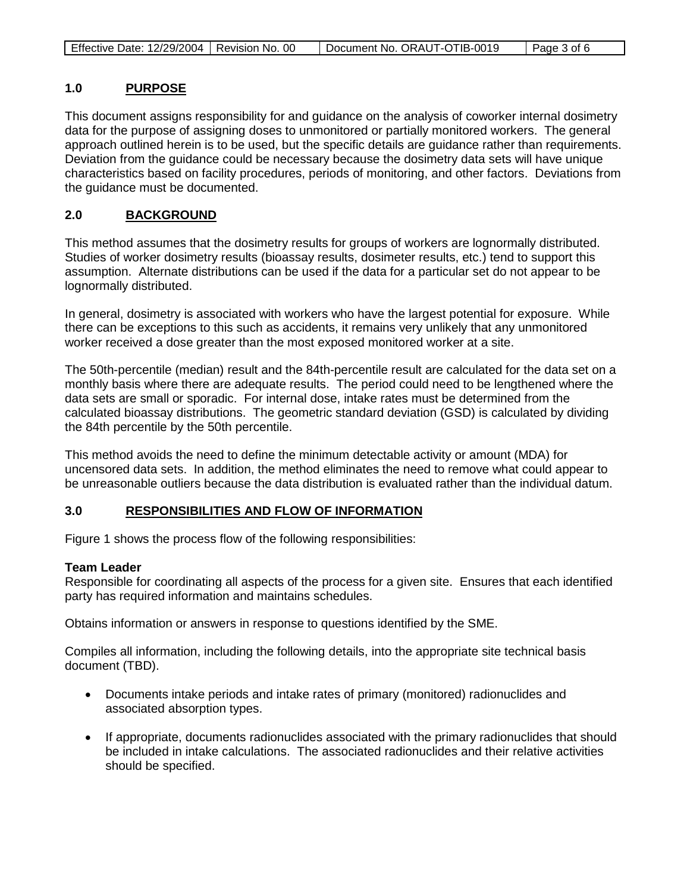| Effective Date: 12/29/2004   Revision No. 00 |  | Document No. ORAUT-OTIB-0019 | Page 3 of 6 |
|----------------------------------------------|--|------------------------------|-------------|
|----------------------------------------------|--|------------------------------|-------------|

#### **1.0 PURPOSE**

This document assigns responsibility for and guidance on the analysis of coworker internal dosimetry data for the purpose of assigning doses to unmonitored or partially monitored workers. The general approach outlined herein is to be used, but the specific details are guidance rather than requirements. Deviation from the guidance could be necessary because the dosimetry data sets will have unique characteristics based on facility procedures, periods of monitoring, and other factors. Deviations from the guidance must be documented.

#### **2.0 BACKGROUND**

This method assumes that the dosimetry results for groups of workers are lognormally distributed. Studies of worker dosimetry results (bioassay results, dosimeter results, etc.) tend to support this assumption. Alternate distributions can be used if the data for a particular set do not appear to be lognormally distributed.

In general, dosimetry is associated with workers who have the largest potential for exposure. While there can be exceptions to this such as accidents, it remains very unlikely that any unmonitored worker received a dose greater than the most exposed monitored worker at a site.

The 50th-percentile (median) result and the 84th-percentile result are calculated for the data set on a monthly basis where there are adequate results. The period could need to be lengthened where the data sets are small or sporadic. For internal dose, intake rates must be determined from the calculated bioassay distributions. The geometric standard deviation (GSD) is calculated by dividing the 84th percentile by the 50th percentile.

This method avoids the need to define the minimum detectable activity or amount (MDA) for uncensored data sets. In addition, the method eliminates the need to remove what could appear to be unreasonable outliers because the data distribution is evaluated rather than the individual datum.

#### **3.0 RESPONSIBILITIES AND FLOW OF INFORMATION**

Figure 1 shows the process flow of the following responsibilities:

## **Team Leader**

Responsible for coordinating all aspects of the process for a given site. Ensures that each identified party has required information and maintains schedules.

Obtains information or answers in response to questions identified by the SME.

Compiles all information, including the following details, into the appropriate site technical basis document (TBD).

- Documents intake periods and intake rates of primary (monitored) radionuclides and associated absorption types.
- If appropriate, documents radionuclides associated with the primary radionuclides that should be included in intake calculations. The associated radionuclides and their relative activities should be specified.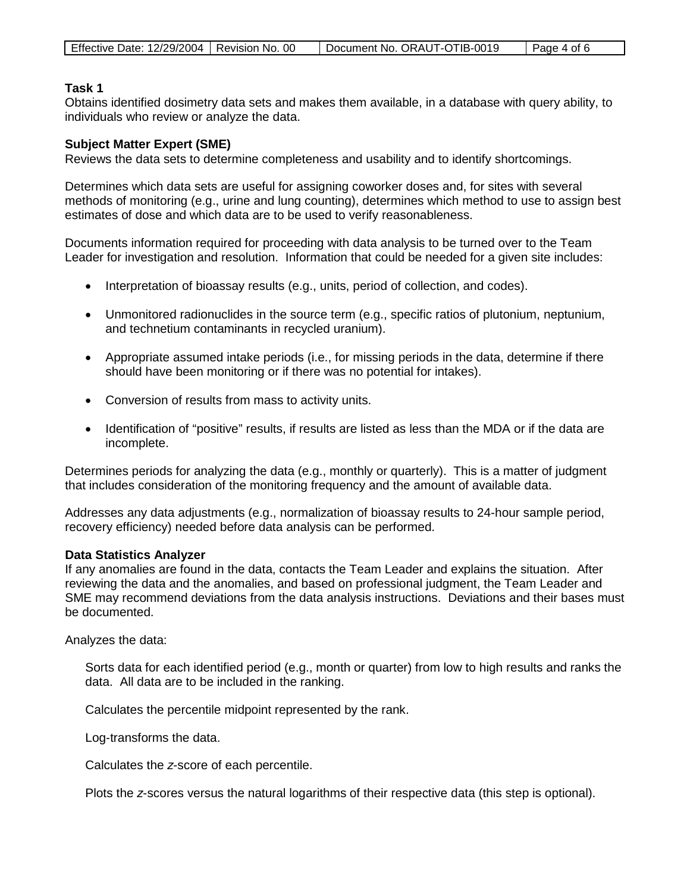| Effective Date: 12/29/2004   Revision No. 00 |  | Document No. ORAUT-OTIB-0019 | Page 4 of 6 |
|----------------------------------------------|--|------------------------------|-------------|
|----------------------------------------------|--|------------------------------|-------------|

### **Task 1**

Obtains identified dosimetry data sets and makes them available, in a database with query ability, to individuals who review or analyze the data.

### **Subject Matter Expert (SME)**

Reviews the data sets to determine completeness and usability and to identify shortcomings.

Determines which data sets are useful for assigning coworker doses and, for sites with several methods of monitoring (e.g., urine and lung counting), determines which method to use to assign best estimates of dose and which data are to be used to verify reasonableness.

Documents information required for proceeding with data analysis to be turned over to the Team Leader for investigation and resolution. Information that could be needed for a given site includes:

- Interpretation of bioassay results (e.g., units, period of collection, and codes).
- Unmonitored radionuclides in the source term (e.g., specific ratios of plutonium, neptunium, and technetium contaminants in recycled uranium).
- Appropriate assumed intake periods (i.e., for missing periods in the data, determine if there should have been monitoring or if there was no potential for intakes).
- Conversion of results from mass to activity units.
- Identification of "positive" results, if results are listed as less than the MDA or if the data are incomplete.

Determines periods for analyzing the data (e.g., monthly or quarterly). This is a matter of judgment that includes consideration of the monitoring frequency and the amount of available data.

Addresses any data adjustments (e.g., normalization of bioassay results to 24-hour sample period, recovery efficiency) needed before data analysis can be performed.

#### **Data Statistics Analyzer**

If any anomalies are found in the data, contacts the Team Leader and explains the situation. After reviewing the data and the anomalies, and based on professional judgment, the Team Leader and SME may recommend deviations from the data analysis instructions. Deviations and their bases must be documented.

Analyzes the data:

Sorts data for each identified period (e.g., month or quarter) from low to high results and ranks the data. All data are to be included in the ranking.

Calculates the percentile midpoint represented by the rank.

Log-transforms the data.

Calculates the *z*-score of each percentile.

Plots the *z*-scores versus the natural logarithms of their respective data (this step is optional).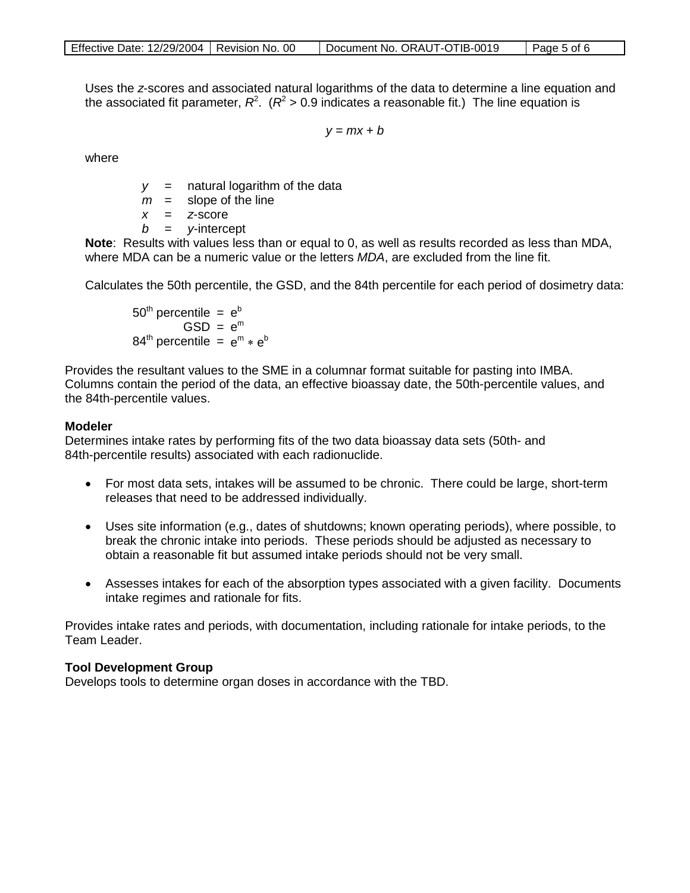|--|

Uses the *z*-scores and associated natural logarithms of the data to determine a line equation and the associated fit parameter,  $R^2$ . ( $R^2$  > 0.9 indicates a reasonable fit.) The line equation is

 $y = mx + b$ 

where

*y* = natural logarithm of the data

 $m =$  slope of the line

*x* = *z*-score

*b* = *y*-intercept

**Note**: Results with values less than or equal to 0, as well as results recorded as less than MDA, where MDA can be a numeric value or the letters *MDA*, are excluded from the line fit.

Calculates the 50th percentile, the GSD, and the 84th percentile for each period of dosimetry data:

 $50<sup>th</sup>$  percentile =  $e<sup>b</sup>$  $GSD = e<sup>m</sup>$  $84<sup>th</sup>$  percentile =  $e<sup>m</sup> * e<sup>b</sup>$ 

Provides the resultant values to the SME in a columnar format suitable for pasting into IMBA. Columns contain the period of the data, an effective bioassay date, the 50th-percentile values, and the 84th-percentile values.

### **Modeler**

Determines intake rates by performing fits of the two data bioassay data sets (50th- and 84th-percentile results) associated with each radionuclide.

- For most data sets, intakes will be assumed to be chronic. There could be large, short-term releases that need to be addressed individually.
- Uses site information (e.g., dates of shutdowns; known operating periods), where possible, to break the chronic intake into periods. These periods should be adjusted as necessary to obtain a reasonable fit but assumed intake periods should not be very small.
- Assesses intakes for each of the absorption types associated with a given facility. Documents intake regimes and rationale for fits.

Provides intake rates and periods, with documentation, including rationale for intake periods, to the Team Leader.

### **Tool Development Group**

Develops tools to determine organ doses in accordance with the TBD.